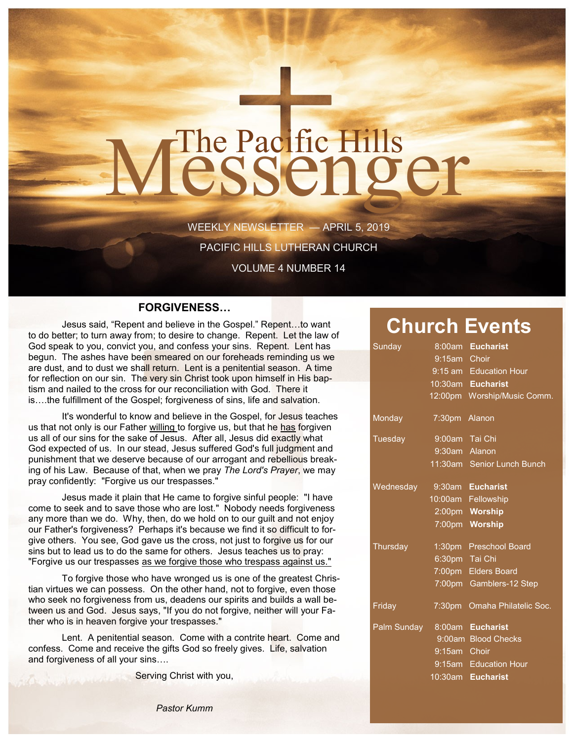# The Pacific Hills<br>CSSCNQCT

WEEKLY NEWSLETTER — APRIL 5, 2019 PACIFIC HILLS LUTHERAN CHURCH

VOLUME 4 NUMBER 14

#### **FORGIVENESS…**

Jesus said, "Repent and believe in the Gospel." Repent…to want to do better; to turn away from; to desire to change. Repent. Let the law of God speak to you, convict you, and confess your sins. Repent. Lent has begun. The ashes have been smeared on our foreheads reminding us we are dust, and to dust we shall return. Lent is a penitential season. A time for reflection on our sin. The very sin Christ took upon himself in His baptism and nailed to the cross for our reconciliation with God. There it is….the fulfillment of the Gospel; forgiveness of sins, life and salvation.

It's wonderful to know and believe in the Gospel, for Jesus teaches us that not only is our Father willing to forgive us, but that he has forgiven us all of our sins for the sake of Jesus. After all, Jesus did exactly what God expected of us. In our stead, Jesus suffered God's full judgment and punishment that we deserve because of our arrogant and rebellious breaking of his Law. Because of that, when we pray *The Lord's Prayer*, we may pray confidently: "Forgive us our trespasses."

Jesus made it plain that He came to forgive sinful people: "I have come to seek and to save those who are lost." Nobody needs forgiveness any more than we do. Why, then, do we hold on to our guilt and not enjoy our Father's forgiveness? Perhaps it's because we find it so difficult to forgive others. You see, God gave us the cross, not just to forgive us for our sins but to lead us to do the same for others. Jesus teaches us to pray: "Forgive us our trespasses as we forgive those who trespass against us."

To forgive those who have wronged us is one of the greatest Christian virtues we can possess. On the other hand, not to forgive, even those who seek no forgiveness from us, deadens our spirits and builds a wall between us and God. Jesus says, "If you do not forgive, neither will your Father who is in heaven forgive your trespasses."

Lent. A penitential season. Come with a contrite heart. Come and confess. Come and receive the gifts God so freely gives. Life, salvation and forgiveness of all your sins….

Serving Christ with you,

### **Church Events**

| <u>Sunday</u>                |                | 8:00am Eucharist             |
|------------------------------|----------------|------------------------------|
|                              | 9:15am Choir   |                              |
|                              |                | 9:15 am Education Hour       |
|                              |                | 10:30am Eucharist            |
|                              |                | 12:00pm Worship/Music Comm.  |
| Monday                       | 7:30pm Alanon  |                              |
| Tuesday                      | 9:00am Tai Chi |                              |
|                              | 9:30am Alanon  |                              |
|                              |                | 11:30am Senior Lunch Bunch   |
| Wednesday                    |                | 9:30am Eucharist             |
|                              |                | 10:00am Fellowship           |
|                              |                | 2:00pm Worship               |
|                              |                | 7:00pm Worship               |
| Thursday                     |                | 1:30pm Preschool Board       |
|                              | 6:30pm Tai Chi |                              |
|                              |                | 7:00pm Elders Board          |
|                              |                | 7:00pm Gamblers-12 Step      |
| Friday                       |                | 7:30pm Omaha Philatelic Soc. |
| Palm Sunday 8:00am Eucharist |                |                              |
|                              |                | 9:00am Blood Checks          |
|                              | 9:15am Choir   |                              |
|                              |                | 9:15am Education Hour        |
|                              |                | 10:30am Eucharist            |
|                              |                |                              |